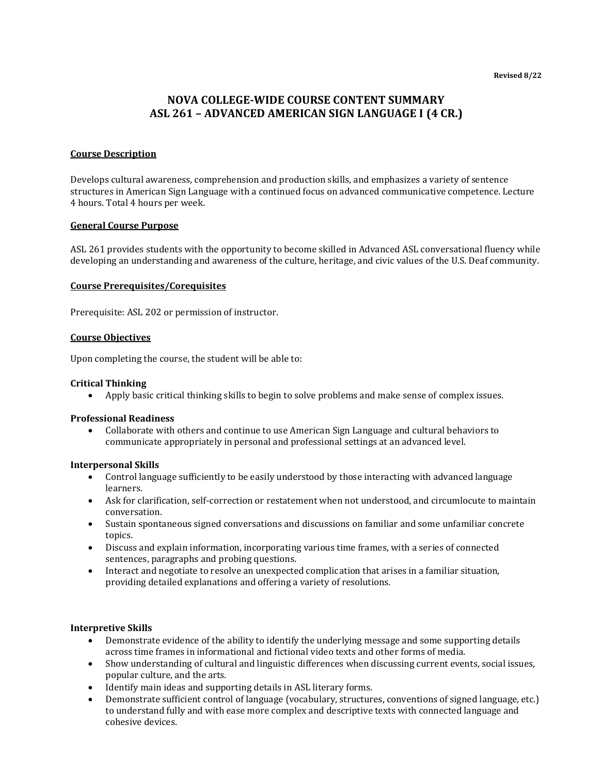# **NOVA COLLEGE-WIDE COURSE CONTENT SUMMARY ASL 261 – ADVANCED AMERICAN SIGN LANGUAGE I (4 CR.)**

### **Course Description**

Develops cultural awareness, comprehension and production skills, and emphasizes a variety of sentence structures in American Sign Language with a continued focus on advanced communicative competence. Lecture 4 hours. Total 4 hours per week.

### **General Course Purpose**

ASL 261 provides students with the opportunity to become skilled in Advanced ASL conversational fluency while developing an understanding and awareness of the culture, heritage, and civic values of the U.S. Deaf community.

### **Course Prerequisites/Corequisites**

Prerequisite: ASL 202 or permission of instructor.

### **Course Objectives**

Upon completing the course, the student will be able to:

### **Critical Thinking**

• Apply basic critical thinking skills to begin to solve problems and make sense of complex issues.

### **Professional Readiness**

• Collaborate with others and continue to use American Sign Language and cultural behaviors to communicate appropriately in personal and professional settings at an advanced level.

### **Interpersonal Skills**

- Control language sufficiently to be easily understood by those interacting with advanced language learners.
- Ask for clarification, self-correction or restatement when not understood, and circumlocute to maintain conversation.
- Sustain spontaneous signed conversations and discussions on familiar and some unfamiliar concrete topics.
- Discuss and explain information, incorporating various time frames, with a series of connected sentences, paragraphs and probing questions.
- Interact and negotiate to resolve an unexpected complication that arises in a familiar situation, providing detailed explanations and offering a variety of resolutions.

### **Interpretive Skills**

- Demonstrate evidence of the ability to identify the underlying message and some supporting details across time frames in informational and fictional video texts and other forms of media.
- Show understanding of cultural and linguistic differences when discussing current events, social issues, popular culture, and the arts.
- Identify main ideas and supporting details in ASL literary forms.
- Demonstrate sufficient control of language (vocabulary, structures, conventions of signed language, etc.) to understand fully and with ease more complex and descriptive texts with connected language and cohesive devices.